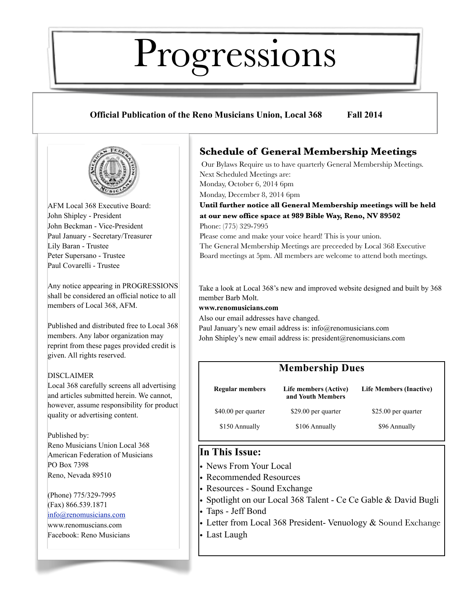# Progressions

#### **Official Publication of the Reno Musicians Union, Local 368 Fall 2014**



AFM Local 368 Executive Board: John Shipley - President John Beckman - Vice-President Paul January - Secretary/Treasurer Lily Baran - Trustee Peter Supersano - Trustee Paul Covarelli - Trustee

Any notice appearing in PROGRESSIONS shall be considered an official notice to all members of Local 368, AFM.

Published and distributed free to Local 368 members. Any labor organization may reprint from these pages provided credit is given. All rights reserved.

#### DISCLAIMER

Local 368 carefully screens all advertising and articles submitted herein. We cannot, however, assume responsibility for product quality or advertising content.

#### Published by:

Reno Musicians Union Local 368 American Federation of Musicians PO Box 7398 Reno, Nevada 89510

(Phone) 775/329-7995 (Fax) 866.539.1871 [info@renomusicians.com](mailto:local368@clearwire.net)

[www.renom](http://www.reno)uscians.com Facebook: Reno Musicians

#### **Schedule of General Membership Meetings**

 Our Bylaws Require us to have quarterly General Membership Meetings. Next Scheduled Meetings are:

Monday, October 6, 2014 6pm Monday, December 8, 2014 6pm

**Until further notice all General Membership meetings will be held at our new office space at 989 Bible Way, Reno, NV 89502**

Phone: (775) 329-7995

Please come and make your voice heard! This is your union.

The General Membership Meetings are preceeded by Local 368 Executive Board meetings at 5pm. All members are welcome to attend both meetings.

Take a look at Local 368's new and improved website designed and built by 368 member Barb Molt.

#### **[www.renomusicians.com](http://www.renomusicians.com)**

Also our email addresses have changed.

Paul January's new email address is: [info@renomusicians.com](mailto:info@renomusicinas.com) John Shipley's new email address is: president@renomusicians.com

| <b>Membership Dues</b> |                                            |                                |  |
|------------------------|--------------------------------------------|--------------------------------|--|
| <b>Regular members</b> | Life members (Active)<br>and Youth Members | <b>Life Members (Inactive)</b> |  |
| \$40.00 per quarter    | \$29.00 per quarter                        | \$25.00 per quarter            |  |
| \$150 Annually         | \$106 Annually                             | \$96 Annually                  |  |

#### **In This Issue:**

- News From Your Local
- Recommended Resources
- Resources Sound Exchange
- Spotlight on our Local 368 Talent Ce Ce Gable & David Bugli
- Taps Jeff Bond
- Letter from Local 368 President- Venuology & Sound Exchange
- Last Laugh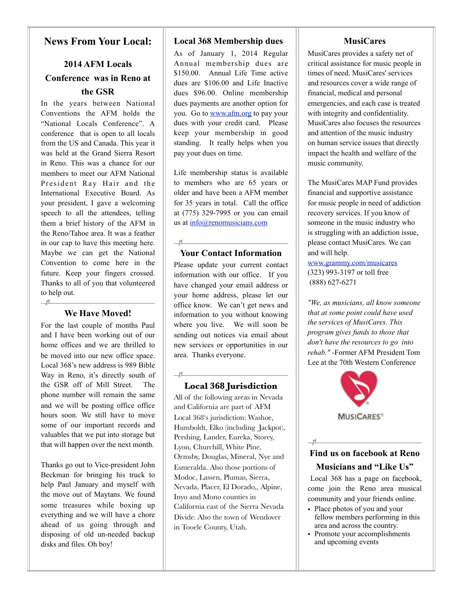#### **News From Your Local:**

#### **2014 AFM Locals Conference was in Reno at the GSR**

In the years between National Conventions the AFM holds the "National Locals Conference". A conference that is open to all locals from the US and Canada. This year it was held at the Grand Sierra Resort in Reno. This was a chance for our members to meet our AFM National President Ray Hair and the International Executive Board. As your president, I gave a welcoming speech to all the attendees, telling them a brief history of the AFM in the Reno/Tahoe area. It was a feather in our cap to have this meeting here. Maybe we can get the National Convention to come here in the future. Keep your fingers crossed. Thanks to all of you that volunteered to help out.  $\frac{1}{2}$ 

#### **We Have Moved!**

For the last couple of months Paul and I have been working out of our home offices and we are thrilled to be moved into our new office space. Local 368's new address is 989 Bible Way in Reno, it's directly south of the GSR off of Mill Street. The phone number will remain the same and we will be posting office office hours soon. We still have to move some of our important records and valuables that we put into storage but that will happen over the next month.

Thanks go out to Vice-president John Beckman for bringing his truck to help Paul January and myself with the move out of Maytans. We found some treasures while boxing up everything and we will have a chore ahead of us going through and disposing of old un-needed backup disks and files. Oh boy!

#### **Local 368 Membership dues**

As of January 1, 2014 Regular Annual membership dues are \$150.00. Annual Life Time active dues are \$106.00 and Life Inactive dues \$96.00. Online membership dues payments are another option for you. Go to [www.afm.org](http://www.afm.org) to pay your dues with your credit card. Please keep your membership in good standing. It really helps when you pay your dues on time.

Life membership status is available to members who are 65 years or older and have been a AFM member for 35 years in total. Call the office at (775) 329-7995 or you can email us at [info@renomusicians.com](mailto:local368@clearwire.net)

#### $\overline{\phantom{a}}$ **Your Contact Information**

 $\frac{1}{2}$ 

Please update your current contact information with our office. If you have changed your email address or your home address, please let our office know. We can't get news and information to you without knowing where you live. We will soon be sending out notices via email about new services or opportunities in our area. Thanks everyone.

#### **Local 368 Jurisdiction**

All of the following areas in Nevada and California are part of AFM Local 368's jurisdiction: Washoe, Humboldt, Elko (including Jackpot), Pershing, Lander, Eureka, Storey, Lyon, Churchill, White Pine, Ormsby, Douglas, Mineral, Nye and Esmeralda. Also those portions of Modoc, Lassen, Plumas, Sierra, Nevada, Placer, El Dorado,, Alpine, Inyo and Mono counties in California east of the Sierra Nevada Divide. Also the town of Wendover in Tooele County, Utah.

#### **MusiCares**

MusiCares provides a safety net of critical assistance for music people in times of need. MusiCares' services and resources cover a wide range of financial, medical and personal emergencies, and each case is treated with integrity and confidentiality. MusiCares also focuses the resources and attention of the music industry on human service issues that directly impact the health and welfare of the music community.

The MusiCares MAP Fund provides financial and supportive assistance for music people in need of addiction recovery services. If you know of someone in the music industry who is struggling with an addiction issue, please contact MusiCares. We can and will help.

[www.grammy.com/musicares](http://www.grammy.com/musicares) (323) 993-3197 or toll free (888) 627-6271

*"We, as musicians, all know someone that at some point could have used the services of MusiCares. This program gives funds to those that don't have the resources to go into rehab." -*Former AFM President Tom Lee at the 70th Western Conference



#### **Find us on facebook at Reno Musicians and "Like Us"**

 $H$ 

Local 368 has a page on facebook, come join the Reno area musical community and your friends online.

- Place photos of you and your fellow members performing in this area and across the country.
- Promote your accomplishments and upcoming events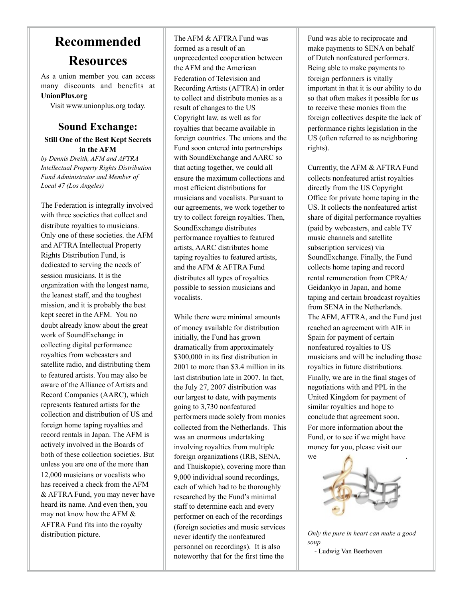## **Recommended Resources**

As a union member you can access many discounts and benefits at **UnionPlus.org** 

Visit [www.unionplus.org](http://www.unionpluse.or) today.

#### **Sound Exchange: Still One of the Best Kept Secrets in the AFM**

*by Dennis Dreith, AFM and AFTRA Intellectual Property Rights Distribution Fund Administrator and Member of Local 47 (Los Angeles)*

The Federation is integrally involved with three societies that collect and distribute royalties to musicians. Only one of these societies. the AFM and AFTRA Intellectual Property Rights Distribution Fund, is dedicated to serving the needs of session musicians. It is the organization with the longest name, the leanest staff, and the toughest mission, and it is probably the best kept secret in the AFM. You no doubt already know about the great work of SoundExchange in collecting digital performance royalties from webcasters and satellite radio, and distributing them to featured artists. You may also be aware of the Alliance of Artists and Record Companies (AARC), which represents featured artists for the collection and distribution of US and foreign home taping royalties and record rentals in Japan. The AFM is actively involved in the Boards of both of these collection societies. But unless you are one of the more than 12,000 musicians or vocalists who has received a check from the AFM & AFTRA Fund, you may never have heard its name. And even then, you may not know how the AFM & AFTRA Fund fits into the royalty distribution picture.

The AFM & AFTRA Fund was formed as a result of an unprecedented cooperation between the AFM and the American Federation of Television and Recording Artists (AFTRA) in order to collect and distribute monies as a result of changes to the US Copyright law, as well as for royalties that became available in foreign countries. The unions and the Fund soon entered into partnerships with SoundExchange and AARC so that acting together, we could all ensure the maximum collections and most efficient distributions for musicians and vocalists. Pursuant to our agreements, we work together to try to collect foreign royalties. Then, SoundExchange distributes performance royalties to featured artists, AARC distributes home taping royalties to featured artists, and the AFM & AFTRA Fund distributes all types of royalties possible to session musicians and vocalists.

While there were minimal amounts of money available for distribution initially, the Fund has grown dramatically from approximately \$300,000 in its first distribution in 2001 to more than \$3.4 million in its last distribution late in 2007. In fact, the July 27, 2007 distribution was our largest to date, with payments going to 3,730 nonfeatured performers made solely from monies collected from the Netherlands. This was an enormous undertaking involving royalties from multiple foreign organizations (IRB, SENA, and Thuiskopie), covering more than 9,000 individual sound recordings, each of which had to be thoroughly researched by the Fund's minimal staff to determine each and every performer on each of the recordings (foreign societies and music services never identify the nonfeatured personnel on recordings). It is also noteworthy that for the first time the

Fund was able to reciprocate and make payments to SENA on behalf of Dutch nonfeatured performers. Being able to make payments to foreign performers is vitally important in that it is our ability to do so that often makes it possible for us to receive these monies from the foreign collectives despite the lack of performance rights legislation in the US (often referred to as neighboring rights).

Currently, the AFM & AFTRA Fund collects nonfeatured artist royalties directly from the US Copyright Office for private home taping in the US. It collects the nonfeatured artist share of digital performance royalties (paid by webcasters, and cable TV music channels and satellite subscription services) via SoundExchange. Finally, the Fund collects home taping and record rental remuneration from CPRA/ Geidankyo in Japan, and home taping and certain broadcast royalties from SENA in the Netherlands. The AFM, AFTRA, and the Fund just reached an agreement with AIE in Spain for payment of certain nonfeatured royalties to US musicians and will be including those royalties in future distributions. Finally, we are in the final stages of negotiations with and PPL in the United Kingdom for payment of similar royalties and hope to conclude that agreement soon. For more information about the Fund, or to see if we might have money for you, please visit our we **with a set of the set of the set of the set of the set of the set of the set of the set of the set of the set of the set of the set of the set of the set of the set of the set of the set of the set of the set of the se** 



*Only the pure in heart can make a good soup.* - Ludwig Van Beethoven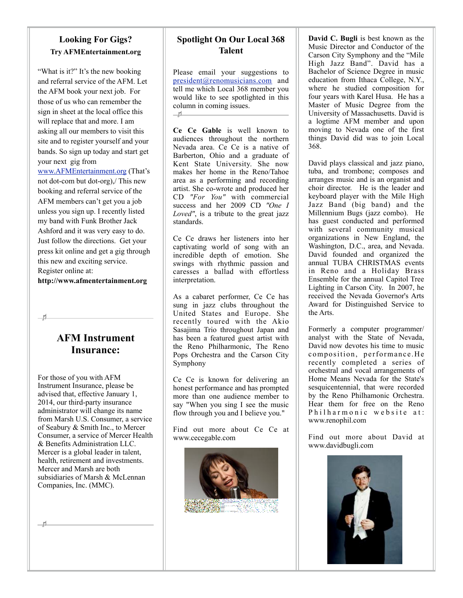#### **Looking For Gigs? Try AFMEntertainment.org**

"What is it?" It's the new booking and referral service of the AFM. Let the AFM book your next job. For those of us who can remember the sign in sheet at the local office this will replace that and more. I am asking all our members to visit this site and to register yourself and your bands. So sign up today and start get your next gig from

[www.AFMEntertainment.org](http://www.AFMEntertainment.org) (That's not dot-com but dot-org),/ This new booking and referral service of the AFM members can't get you a job unless you sign up. I recently listed my band with Funk Brother Jack Ashford and it was very easy to do. Just follow the directions. Get your press kit online and get a gig through this new and exciting service. Register online at:

**<http://www.afmentertainment.org>**

#### **AFM Instrument Insurance:**

For those of you with AFM Instrument Insurance, please be advised that, effective January 1, 2014, our third-party insurance administrator will change its name from Marsh U.S. Consumer, a service of Seabury & Smith Inc., to Mercer Consumer, a service of Mercer Health & Benefits Administration LLC. Mercer is a global leader in talent, health, retirement and investments. Mercer and Marsh are both subsidiaries of Marsh & McLennan Companies, Inc. (MMC).

**Spotlight On Our Local 368 Talent**

Please email your suggestions to [president@renomusicians.com](mailto:president@renomusicinas.com) and tell me which Local 368 member you would like to see spotlighted in this column in coming issues.  $-11$ 

**Ce Ce Gable** is well known to audiences throughout the northern Nevada area. Ce Ce is a native of Barberton, Ohio and a graduate of Kent State University. She now makes her home in the Reno/Tahoe area as a performing and recording artist. She co-wrote and produced her CD *"For You"* with commercial success and her 2009 CD *"One I Loved"*, is a tribute to the great jazz standards.

Ce Ce draws her listeners into her captivating world of song with an incredible depth of emotion. She swings with rhythmic passion and caresses a ballad with effortless interpretation.

As a cabaret performer, Ce Ce has sung in jazz clubs throughout the United States and Europe. She recently toured with the Akio Sasajima Trio throughout Japan and has been a featured guest artist with the Reno Philharmonic, The Reno Pops Orchestra and the Carson City Symphony

Ce Ce is known for delivering an honest performance and has prompted more than one audience member to say "When you sing I see the music flow through you and I believe you."

Find out more about Ce Ce at www.cecegable.com



**David C. Bugli** is best known as the Music Director and Conductor of the Carson City Symphony and the "Mile High Jazz Band". David has a Bachelor of Science Degree in music education from Ithaca College, N.Y., where he studied composition for four years with Karel Husa. He has a Master of Music Degree from the University of Massachusetts. David is a logtime AFM member and upon moving to Nevada one of the first things David did was to join Local 368.

David plays classical and jazz piano, tuba, and trombone; composes and arranges music and is an organist and choir director. He is the leader and keyboard player with the Mile High Jazz Band (big band) and the Millennium Bugs (jazz combo). He has guest conducted and performed with several community musical organizations in New England, the Washington, D.C., area, and Nevada. David founded and organized the annual TUBA CHRISTMAS events in Reno and a Holiday Brass Ensemble for the annual Capitol Tree Lighting in Carson City. In 2007, he received the Nevada Governor's Arts Award for Distinguished Service to the Arts.

Formerly a computer programmer/ analyst with the State of Nevada, David now devotes his time to music composition, performance.He recently completed a series of orchestral and vocal arrangements of Home Means Nevada for the State's sesquicentennial, that were recorded by the Reno Philhamonic Orchestra. Hear them for free on the Reno Philharmonic website at: www.renophil.com

Find out more about David at www.davidbugli.com

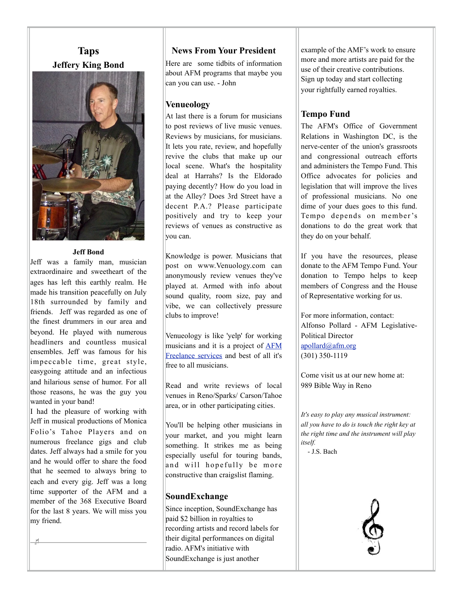#### **Taps Jeffery King Bond**



#### **Jeff Bond**

Jeff was a family man, musician extraordinaire and sweetheart of the ages has left this earthly realm. He made his transition peacefully on July 18th surrounded by family and friends. Jeff was regarded as one of the finest drummers in our area and beyond. He played with numerous headliners and countless musical ensembles. Jeff was famous for his impeccable time, great style, easygoing attitude and an infectious and hilarious sense of humor. For all those reasons, he was the guy you wanted in your band!

I had the pleasure of working with Jeff in musical productions of Monica Folio's Tahoe Players and on numerous freelance gigs and club dates. Jeff always had a smile for you and he would offer to share the food that he seemed to always bring to each and every gig. Jeff was a long time supporter of the AFM and a member of the 368 Executive Board for the last 8 years. We will miss you my friend.

#### **News From Your President**

Here are some tidbits of information about AFM programs that maybe you can you can use. - John

#### **Venueology**

At last there is a forum for musicians to post reviews of live music venues. Reviews by musicians, for musicians. It lets you rate, review, and hopefully revive the clubs that make up our local scene. What's the hospitality deal at Harrahs? Is the Eldorado paying decently? How do you load in at the Alley? Does 3rd Street have a decent P.A.? Please participate positively and try to keep your reviews of venues as constructive as you can.

Knowledge is power. Musicians that post on www.Venuology.com can anonymously review venues they've played at. Armed with info about sound quality, room size, pay and vibe, we can collectively pressure clubs to improve!

Venueology is like 'yelp' for working musicians and it is a project of [AFM](http://www.afm.org/departments/freelance-membership-development) [Freelance services](http://www.afm.org/departments/freelance-membership-development) and best of all it's free to all musicians.

Read and write reviews of local venues in Reno/Sparks/ Carson/Tahoe area, or in other participating cities.

You'll be helping other musicians in your market, and you might learn something. It strikes me as being especially useful for touring bands, and will hopefully be more constructive than craigslist flaming.

#### **SoundExchange**

Since inception, SoundExchange has paid \$2 billion in royalties to recording artists and record labels for their digital performances on digital radio. AFM's initiative with SoundExchange is just another

example of the AMF's work to ensure more and more artists are paid for the use of their creative contributions. Sign up today and start collecting your rightfully earned royalties.

#### **Tempo Fund**

The AFM's Office of Government Relations in Washington DC, is the nerve-center of the union's grassroots and congressional outreach efforts and administers the Tempo Fund. This Office advocates for policies and legislation that will improve the lives of professional musicians. No one dime of your dues goes to this fund. Tempo depends on member 's donations to do the great work that they do on your behalf.

If you have the resources, please donate to the AFM Tempo Fund. Your donation to Tempo helps to keep members of Congress and the House of Representative working for us.

For more information, contact: Alfonso Pollard - AFM Legislative-Political Director [apollard@afm.org](mailto:apollard@afm.org) (301) 350-1119

Come visit us at our new home at: 989 Bible Way in Reno

*It's easy to play any musical instrument: all you have to do is touch the right key at the right time and the instrument will play itself.*

- J.S. Bach

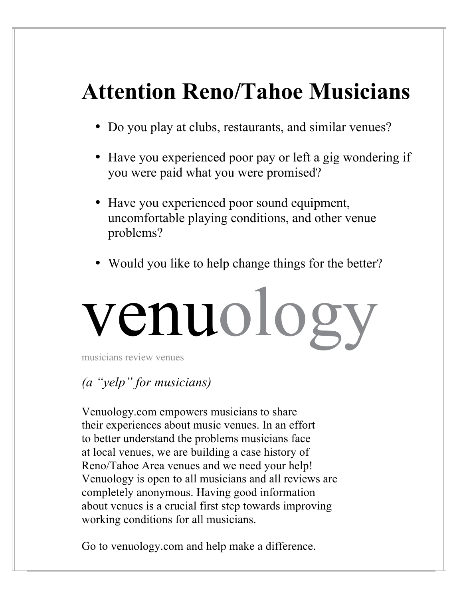# **Attention Reno/Tahoe Musicians**

- Do you play at clubs, restaurants, and similar venues?
- Have you experienced poor pay or left a gig wondering if you were paid what you were promised?
- Have you experienced poor sound equipment, uncomfortable playing conditions, and other venue problems?
- Would you like to help change things for the better?

# venuology

musicians review venues

### *(a "yelp" for musicians)*

Venuology.com empowers musicians to share their experiences about music venues. In an effort to better understand the problems musicians face at local venues, we are building a case history of Reno/Tahoe Area venues and we need your help! Venuology is open to all musicians and all reviews are completely anonymous. Having good information about venues is a crucial first step towards improving working conditions for all musicians.

Go to venuology.com and help make a difference.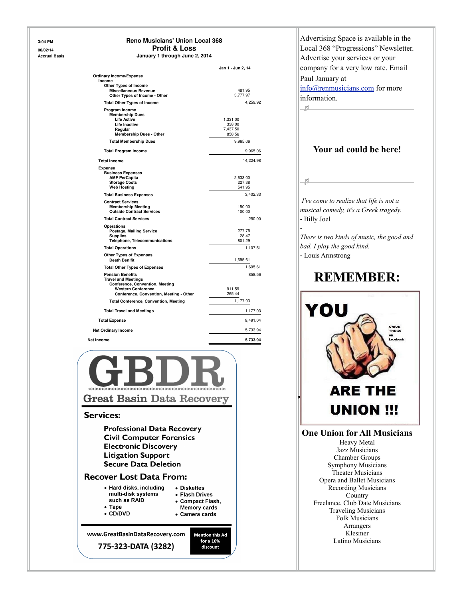#### **3:04 PM Reno Musicians' Union Local 368 06/02/14 Profit & Loss Accrual Basis January 1 through June 2, 2014**

|                                              | Jan 1 - Jun 2, 14 |
|----------------------------------------------|-------------------|
| <b>Ordinary Income/Expense</b>               |                   |
| Income                                       |                   |
| <b>Other Types of Income</b>                 |                   |
| <b>Miscellaneous Revenue</b>                 | 481.95            |
| Other Types of Income - Other                | 3.777.97          |
| <b>Total Other Types of Income</b>           | 4,259.92          |
| Program Income                               |                   |
| <b>Membership Dues</b>                       |                   |
| <b>Life Active</b>                           | 1,331.00          |
| <b>Life Inactive</b>                         | 338.00            |
| Regular                                      | 7,437.50          |
| <b>Membership Dues - Other</b>               | 858.56            |
| <b>Total Membership Dues</b>                 | 9,965.06          |
| <b>Total Program Income</b>                  | 9,965.06          |
|                                              |                   |
| <b>Total Income</b>                          | 14,224.98         |
| <b>Expense</b>                               |                   |
| <b>Business Expenses</b>                     |                   |
| <b>AMF PerCapita</b>                         | 2.633.00          |
| <b>Storage Costs</b>                         | 227.38            |
| <b>Web Hosting</b>                           | 541.95            |
| <b>Total Business Expenses</b>               | 3,402.33          |
| <b>Contract Services</b>                     |                   |
| <b>Membership Meeting</b>                    | 150.00            |
| <b>Outside Contract Services</b>             | 100.00            |
| <b>Total Contract Services</b>               | 250.00            |
| Operations                                   |                   |
| Postage, Mailing Service                     | 277.75            |
| <b>Supplies</b>                              | 28.47             |
| <b>Telephone, Telecommunications</b>         | 801.29            |
| <b>Total Operations</b>                      | 1.107.51          |
| <b>Other Types of Expenses</b>               |                   |
| <b>Death Benifit</b>                         | 1,695.61          |
| <b>Total Other Types of Expenses</b>         | 1,695.61          |
| <b>Pension Benefits</b>                      | 858.56            |
| <b>Travel and Meetings</b>                   |                   |
| <b>Conference, Convention, Meeting</b>       |                   |
| <b>Western Conference</b>                    | 911.59            |
| Conference, Convention, Meeting - Other      | 265.44            |
|                                              | 1,177.03          |
| <b>Total Conference, Convention, Meeting</b> |                   |
| <b>Total Travel and Meetings</b>             | 1,177.03          |
| <b>Total Expense</b>                         | 8.491.04          |
| <b>Net Ordinary Income</b>                   | 5,733.94          |
|                                              | 5,733.94          |



#### **Services:**

**Professional Data Recovery Civil Computer Forensics Electronic Discovery Litigation Support Secure Data Deletion** 

#### **Recover Lost Data From:**

| • Hard disks, including | • Diskettes         |
|-------------------------|---------------------|
| multi-disk systems      | • Flash Drives      |
| such as RAID            | • Compact Flash,    |
| $\bullet$ Tape          | <b>Memory cards</b> |
| $\bullet$ CD/DVD        | • Camera cards      |
|                         |                     |

**Mention this Ad** for a 10%

discount

www.GreatBasinDataRecovery.com

775-323-DATA (3282)



Folk Musicians Arrangers Klesmer Latino Musicians